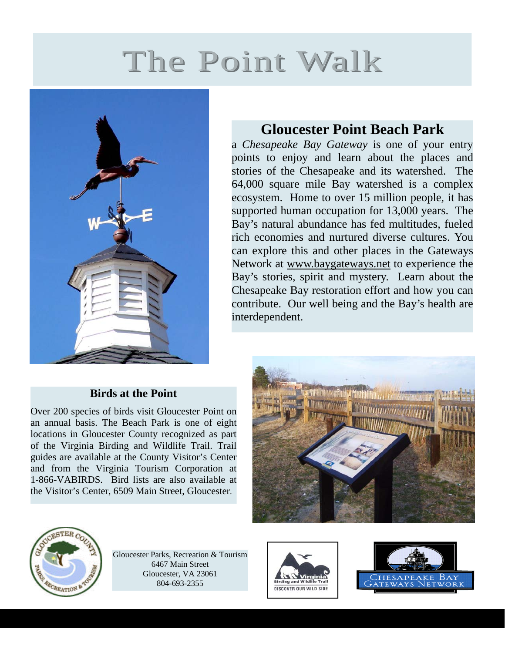# The Point Walk



## **Gloucester Point Beach Park**

a *Chesapeake Bay Gateway* is one of your entry points to enjoy and learn about the places and stories of the Chesapeake and its watershed. The 64,000 square mile Bay watershed is a complex ecosystem. Home to over 15 million people, it has supported human occupation for 13,000 years. The Bay's natural abundance has fed multitudes, fueled rich economies and nurtured diverse cultures. You can explore this and other places in the Gateways Network at www.baygateways.net to experience the Bay's stories, spirit and mystery. Learn about the Chesapeake Bay restoration effort and how you can contribute. Our well being and the Bay's health are interdependent.

#### **Birds at the Point**

Over 200 species of birds visit Gloucester Point on an annual basis. The Beach Park is one of eight locations in Gloucester County recognized as part of the Virginia Birding and Wildlife Trail. Trail guides are available at the County Visitor's Center and from the Virginia Tourism Corporation at 1-866-VABIRDS. Bird lists are also available at the Visitor's Center, 6509 Main Street, Gloucester.





Gloucester Parks, Recreation & Tourism 6467 Main Street Gloucester, VA 23061 804-693-2355



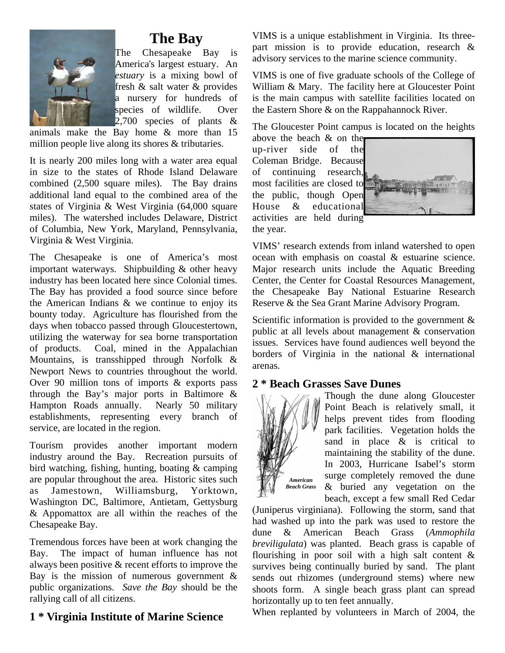

## **The Bay**

The Chesapeake Bay is America's largest estuary. An *estuary* is a mixing bowl of fresh & salt water & provides a nursery for hundreds of species of wildlife. Over 2,700 species of plants &

animals make the Bay home & more than 15 million people live along its shores & tributaries.

It is nearly 200 miles long with a water area equal in size to the states of Rhode Island Delaware combined (2,500 square miles). The Bay drains additional land equal to the combined area of the states of Virginia & West Virginia (64,000 square miles). The watershed includes Delaware, District of Columbia, New York, Maryland, Pennsylvania, Virginia & West Virginia.

The Chesapeake is one of America's most important waterways. Shipbuilding & other heavy industry has been located here since Colonial times. The Bay has provided a food source since before the American Indians & we continue to enjoy its bounty today. Agriculture has flourished from the days when tobacco passed through Gloucestertown, utilizing the waterway for sea borne transportation of products. Coal, mined in the Appalachian Mountains, is transshipped through Norfolk & Newport News to countries throughout the world. Over 90 million tons of imports & exports pass through the Bay's major ports in Baltimore & Hampton Roads annually. Nearly 50 military establishments, representing every branch of service, are located in the region.

Tourism provides another important modern industry around the Bay. Recreation pursuits of bird watching, fishing, hunting, boating & camping are popular throughout the area. Historic sites such as Jamestown, Williamsburg, Yorktown, Washington DC, Baltimore, Antietam, Gettysburg & Appomattox are all within the reaches of the Chesapeake Bay.

Tremendous forces have been at work changing the Bay. The impact of human influence has not always been positive & recent efforts to improve the Bay is the mission of numerous government  $\&$ public organizations. *Save the Bay* should be the rallying call of all citizens.

#### **1 \* Virginia Institute of Marine Science**

VIMS is a unique establishment in Virginia. Its threepart mission is to provide education, research & advisory services to the marine science community.

VIMS is one of five graduate schools of the College of William & Mary. The facility here at Gloucester Point is the main campus with satellite facilities located on the Eastern Shore & on the Rappahannock River.

The Gloucester Point campus is located on the heights

above the beach & on the up-river side of the Coleman Bridge. Because of continuing research, most facilities are closed to the public, though Open House & educational activities are held during the year.



VIMS' research extends from inland watershed to open ocean with emphasis on coastal & estuarine science. Major research units include the Aquatic Breeding Center, the Center for Coastal Resources Management, the Chesapeake Bay National Estuarine Research Reserve & the Sea Grant Marine Advisory Program.

Scientific information is provided to the government  $\&$ public at all levels about management & conservation issues. Services have found audiences well beyond the borders of Virginia in the national & international arenas.

#### **2 \* Beach Grasses Save Dunes**



Though the dune along Gloucester Point Beach is relatively small, it helps prevent tides from flooding park facilities. Vegetation holds the sand in place  $\&$  is critical to maintaining the stability of the dune. In 2003, Hurricane Isabel's storm surge completely removed the dune & buried any vegetation on the beach, except a few small Red Cedar

(Juniperus virginiana). Following the storm, sand that had washed up into the park was used to restore the dune & American Beach Grass (*Ammophila breviligulata*) was planted. Beach grass is capable of flourishing in poor soil with a high salt content  $\&$ survives being continually buried by sand. The plant sends out rhizomes (underground stems) where new shoots form. A single beach grass plant can spread horizontally up to ten feet annually.

When replanted by volunteers in March of 2004, the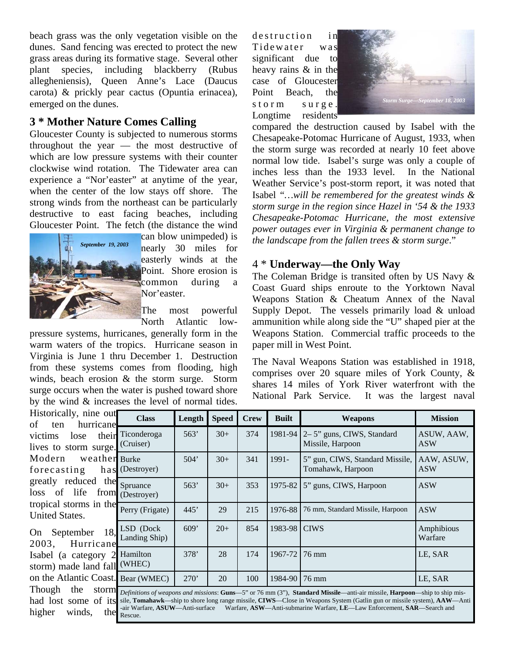beach grass was the only vegetation visible on the dunes. Sand fencing was erected to protect the new grass areas during its formative stage. Several other plant species, including blackberry (Rubus allegheniensis), Queen Anne's Lace (Daucus carota) & prickly pear cactus (Opuntia erinacea), emerged on the dunes.

#### **3 \* Mother Nature Comes Calling**

Gloucester County is subjected to numerous storms throughout the year — the most destructive of which are low pressure systems with their counter clockwise wind rotation. The Tidewater area can experience a "Nor'easter" at anytime of the year, when the center of the low stays off shore. The strong winds from the northeast can be particularly destructive to east facing beaches, including Gloucester Point. The fetch (the distance the wind



can blow unimpeded) is nearly 30 miles for easterly winds at the Point. Shore erosion is common during a Nor'easter.

The most powerful North Atlantic low-

pressure systems, hurricanes, generally form in the warm waters of the tropics. Hurricane season in Virginia is June 1 thru December 1. Destruction from these systems comes from flooding, high winds, beach erosion & the storm surge. Storm surge occurs when the water is pushed toward shore by the wind & increases the level of normal tides.

destruction in Tidewater was significant due to heavy rains & in the case of Gloucester Point Beach, the storm surge. Longtime residents



compared the destruction caused by Isabel with the Chesapeake-Potomac Hurricane of August, 1933, when the storm surge was recorded at nearly 10 feet above normal low tide. Isabel's surge was only a couple of inches less than the 1933 level. In the National Weather Service's post-storm report, it was noted that Isabel *"…will be remembered for the greatest winds & storm surge in the region since Hazel in '54 & the 1933 Chesapeake-Potomac Hurricane, the most extensive power outages ever in Virginia & permanent change to the landscape from the fallen trees & storm surge*."

#### 4 \* **Underway—the Only Way**

The Coleman Bridge is transited often by US Navy & Coast Guard ships enroute to the Yorktown Naval Weapons Station & Cheatum Annex of the Naval Supply Depot. The vessels primarily load & unload ammunition while along side the "U" shaped pier at the Weapons Station. Commercial traffic proceeds to the paper mill in West Point.

The Naval Weapons Station was established in 1918, comprises over 20 square miles of York County, & shares 14 miles of York River waterfront with the National Park Service. It was the largest naval

| Historically, nine out<br>hurricane<br>of<br>ten                                                                                                               | <b>Class</b>                                                                                                                                                                                                                                                                                                                                                                                               | Length | <b>Speed</b> | <b>Crew</b> | <b>Built</b>  | Weapons                                              | <b>Mission</b>           |
|----------------------------------------------------------------------------------------------------------------------------------------------------------------|------------------------------------------------------------------------------------------------------------------------------------------------------------------------------------------------------------------------------------------------------------------------------------------------------------------------------------------------------------------------------------------------------------|--------|--------------|-------------|---------------|------------------------------------------------------|--------------------------|
| victims lose<br>lives to storm surge.<br>Modern<br>weather Burke<br>forecasting<br>greatly reduced<br>loss of life<br>tropical storms in the<br>United States. | their Ticonderoga<br>(Cruiser)                                                                                                                                                                                                                                                                                                                                                                             | 563'   | $30+$        | 374         | 1981-94       | 2–5" guns, CIWS, Standard<br>Missile, Harpoon        | ASUW, AAW,<br><b>ASW</b> |
|                                                                                                                                                                | has (Destroyer)                                                                                                                                                                                                                                                                                                                                                                                            | 504'   | $30+$        | 341         | 1991-         | 5" gun, CIWS, Standard Missile,<br>Tomahawk, Harpoon | AAW, ASUW,<br><b>ASW</b> |
|                                                                                                                                                                | the Spruance<br>from (Destroyer)                                                                                                                                                                                                                                                                                                                                                                           | 563'   | $30+$        | 353         | 1975-82       | 5" guns, CIWS, Harpoon                               | <b>ASW</b>               |
|                                                                                                                                                                | Perry (Frigate)                                                                                                                                                                                                                                                                                                                                                                                            | 445'   | 29           | 215         | 1976-88       | 76 mm, Standard Missile, Harpoon                     | <b>ASW</b>               |
| 18.<br>September<br>On<br>2003, Hurricane                                                                                                                      | LSD (Dock)<br>Landing Ship)                                                                                                                                                                                                                                                                                                                                                                                | 609'   | $20+$        | 854         | 1983-98 CIWS  |                                                      | Amphibious<br>Warfare    |
| Isabel (a category 2 Hamilton<br>storm) made land fall (WHEC)                                                                                                  |                                                                                                                                                                                                                                                                                                                                                                                                            | 378'   | 28           | 174         | 1967-72       | $176 \text{ mm}$                                     | LE, SAR                  |
| on the Atlantic Coast. Bear (WMEC)                                                                                                                             |                                                                                                                                                                                                                                                                                                                                                                                                            | 270'   | 20           | 100         | 1984-90 76 mm |                                                      | LE, SAR                  |
| Though the<br>higher<br>winds,                                                                                                                                 | Storm Definitions of weapons and missions: Guns-5" or 76 mm (3"), Standard Missile-anti-air missile, Harpoon-ship to ship mis-<br>had lost some of its sile, Tomahawk—ship to shore long range missile, CIWS—Close in Weapons System (Gatlin gun or missile system), AAW—Anti<br>-air Warfare, ASUW—Anti-surface Warfare, ASW—Anti-submarine Warfare, LE—Law Enforcement, SAR—Search and<br>the<br>Rescue. |        |              |             |               |                                                      |                          |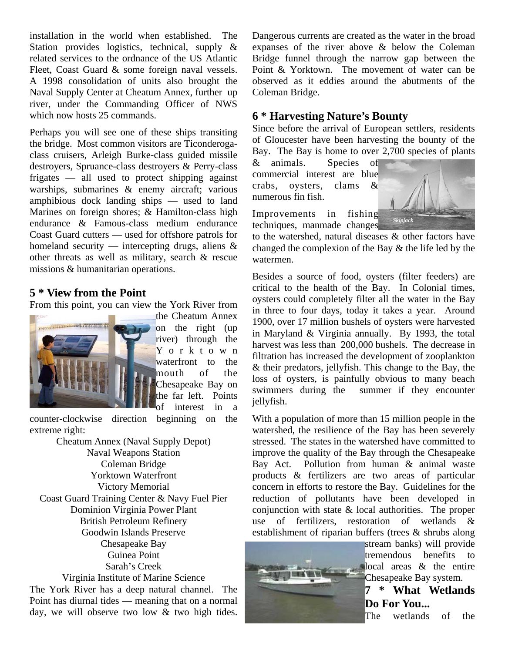installation in the world when established. The Station provides logistics, technical, supply & related services to the ordnance of the US Atlantic Fleet, Coast Guard & some foreign naval vessels. A 1998 consolidation of units also brought the Naval Supply Center at Cheatum Annex, further up river, under the Commanding Officer of NWS which now hosts 25 commands.

Perhaps you will see one of these ships transiting the bridge. Most common visitors are Ticonderogaclass cruisers, Arleigh Burke-class guided missile destroyers, Spruance-class destroyers & Perry-class frigates — all used to protect shipping against warships, submarines & enemy aircraft; various amphibious dock landing ships — used to land Marines on foreign shores; & Hamilton-class high endurance & Famous-class medium endurance Coast Guard cutters — used for offshore patrols for homeland security — intercepting drugs, aliens & other threats as well as military, search & rescue missions & humanitarian operations.

#### **5 \* View from the Point**

From this point, you can view the York River from



the Cheatum Annex on the right (up river) through the Y o r k t o w n waterfront to the mouth of the Chesapeake Bay on the far left. Points of interest in a

counter-clockwise direction beginning on the extreme right:

Cheatum Annex (Naval Supply Depot) Naval Weapons Station Coleman Bridge Yorktown Waterfront Victory Memorial Coast Guard Training Center & Navy Fuel Pier Dominion Virginia Power Plant British Petroleum Refinery Goodwin Islands Preserve Chesapeake Bay Guinea Point Sarah's Creek

Virginia Institute of Marine Science The York River has a deep natural channel. The Point has diurnal tides — meaning that on a normal day, we will observe two low & two high tides.

Dangerous currents are created as the water in the broad expanses of the river above & below the Coleman Bridge funnel through the narrow gap between the Point & Yorktown. The movement of water can be observed as it eddies around the abutments of the Coleman Bridge.

#### **6 \* Harvesting Nature's Bounty**

Since before the arrival of European settlers, residents of Gloucester have been harvesting the bounty of the Bay. The Bay is home to over 2,700 species of plants

& animals. Species of commercial interest are blue crabs, oysters, clams & numerous fin fish.

Improvements in fishing techniques, manmade changes

to the watershed, natural diseases & other factors have changed the complexion of the Bay & the life led by the watermen.

*Skipjack* 

Besides a source of food, oysters (filter feeders) are critical to the health of the Bay. In Colonial times, oysters could completely filter all the water in the Bay in three to four days, today it takes a year. Around 1900, over 17 million bushels of oysters were harvested in Maryland & Virginia annually. By 1993, the total harvest was less than 200,000 bushels. The decrease in filtration has increased the development of zooplankton & their predators, jellyfish. This change to the Bay, the loss of oysters, is painfully obvious to many beach swimmers during the summer if they encounter jellyfish.

With a population of more than 15 million people in the watershed, the resilience of the Bay has been severely stressed. The states in the watershed have committed to improve the quality of the Bay through the Chesapeake Bay Act. Pollution from human & animal waste products & fertilizers are two areas of particular concern in efforts to restore the Bay. Guidelines for the reduction of pollutants have been developed in conjunction with state  $\&$  local authorities. The proper use of fertilizers, restoration of wetlands & establishment of riparian buffers (trees & shrubs along



stream banks) will provide tremendous benefits to local areas & the entire Chesapeake Bay system.

**7 \* What Wetlands Do For You...** 

The wetlands of the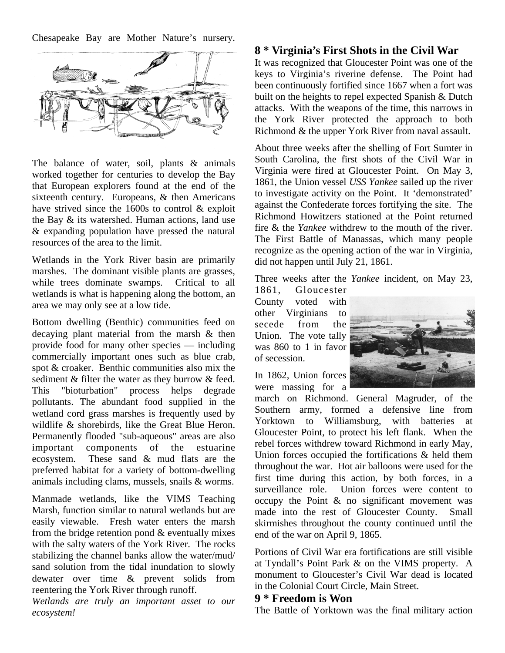Chesapeake Bay are Mother Nature's nursery.



The balance of water, soil, plants  $\&$  animals worked together for centuries to develop the Bay that European explorers found at the end of the sixteenth century. Europeans, & then Americans have strived since the 1600s to control & exploit the Bay & its watershed. Human actions, land use & expanding population have pressed the natural resources of the area to the limit.

Wetlands in the York River basin are primarily marshes. The dominant visible plants are grasses, while trees dominate swamps. Critical to all wetlands is what is happening along the bottom, an area we may only see at a low tide.

Bottom dwelling (Benthic) communities feed on decaying plant material from the marsh & then provide food for many other species — including commercially important ones such as blue crab, spot & croaker. Benthic communities also mix the sediment & filter the water as they burrow & feed. This "bioturbation" process helps degrade pollutants. The abundant food supplied in the wetland cord grass marshes is frequently used by wildlife & shorebirds, like the Great Blue Heron. Permanently flooded "sub-aqueous" areas are also important components of the estuarine ecosystem. These sand & mud flats are the preferred habitat for a variety of bottom-dwelling animals including clams, mussels, snails & worms.

Manmade wetlands, like the VIMS Teaching Marsh, function similar to natural wetlands but are easily viewable. Fresh water enters the marsh from the bridge retention pond  $&$  eventually mixes with the salty waters of the York River. The rocks stabilizing the channel banks allow the water/mud/ sand solution from the tidal inundation to slowly dewater over time & prevent solids from reentering the York River through runoff.

*Wetlands are truly an important asset to our ecosystem!* 

#### **8 \* Virginia's First Shots in the Civil War**

It was recognized that Gloucester Point was one of the keys to Virginia's riverine defense. The Point had been continuously fortified since 1667 when a fort was built on the heights to repel expected Spanish & Dutch attacks. With the weapons of the time, this narrows in the York River protected the approach to both Richmond & the upper York River from naval assault.

About three weeks after the shelling of Fort Sumter in South Carolina, the first shots of the Civil War in Virginia were fired at Gloucester Point. On May 3, 1861, the Union vessel *USS Yankee* sailed up the river to investigate activity on the Point. It 'demonstrated' against the Confederate forces fortifying the site. The Richmond Howitzers stationed at the Point returned fire & the *Yankee* withdrew to the mouth of the river. The First Battle of Manassas, which many people recognize as the opening action of the war in Virginia, did not happen until July 21, 1861.

Three weeks after the *Yankee* incident, on May 23,

1861, Gloucester County voted with other Virginians to secede from the Union. The vote tally was 860 to 1 in favor of secession.

In 1862, Union forces were massing for a



march on Richmond. General Magruder, of the Southern army, formed a defensive line from Yorktown to Williamsburg, with batteries at Gloucester Point, to protect his left flank. When the rebel forces withdrew toward Richmond in early May, Union forces occupied the fortifications & held them throughout the war. Hot air balloons were used for the first time during this action, by both forces, in a surveillance role. Union forces were content to occupy the Point & no significant movement was made into the rest of Gloucester County. Small skirmishes throughout the county continued until the end of the war on April 9, 1865.

Portions of Civil War era fortifications are still visible at Tyndall's Point Park & on the VIMS property. A monument to Gloucester's Civil War dead is located in the Colonial Court Circle, Main Street.

#### **9 \* Freedom is Won**

The Battle of Yorktown was the final military action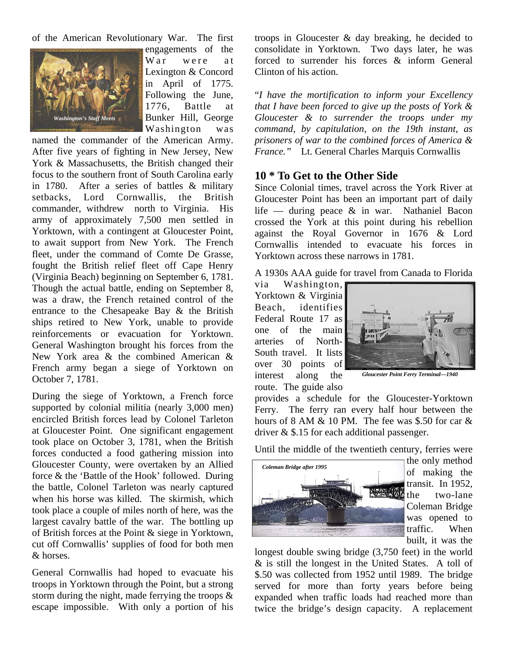of the American Revolutionary War. The first



engagements of the W ar were at Lexington & Concord in April of 1775. Following the June, 1776, Battle at Bunker Hill, George Washington was

named the commander of the American Army. After five years of fighting in New Jersey, New York & Massachusetts, the British changed their focus to the southern front of South Carolina early in 1780. After a series of battles & military setbacks, Lord Cornwallis, the British commander, withdrew north to Virginia. His army of approximately 7,500 men settled in Yorktown, with a contingent at Gloucester Point, to await support from New York. The French fleet, under the command of Comte De Grasse, fought the British relief fleet off Cape Henry (Virginia Beach) beginning on September 6, 1781. Though the actual battle, ending on September 8, was a draw, the French retained control of the entrance to the Chesapeake Bay & the British ships retired to New York, unable to provide reinforcements or evacuation for Yorktown. General Washington brought his forces from the New York area & the combined American & French army began a siege of Yorktown on October 7, 1781.

During the siege of Yorktown, a French force supported by colonial militia (nearly 3,000 men) encircled British forces lead by Colonel Tarleton at Gloucester Point. One significant engagement took place on October 3, 1781, when the British forces conducted a food gathering mission into Gloucester County, were overtaken by an Allied force & the 'Battle of the Hook' followed. During the battle, Colonel Tarleton was nearly captured when his horse was killed. The skirmish, which took place a couple of miles north of here, was the largest cavalry battle of the war. The bottling up of British forces at the Point & siege in Yorktown, cut off Cornwallis' supplies of food for both men & horses.

General Cornwallis had hoped to evacuate his troops in Yorktown through the Point, but a strong storm during the night, made ferrying the troops  $\&$ escape impossible. With only a portion of his troops in Gloucester & day breaking, he decided to consolidate in Yorktown. Two days later, he was forced to surrender his forces & inform General Clinton of his action.

"*I have the mortification to inform your Excellency that I have been forced to give up the posts of York & Gloucester & to surrender the troops under my command, by capitulation, on the 19th instant, as prisoners of war to the combined forces of America & France."* Lt. General Charles Marquis Cornwallis

#### **10 \* To Get to the Other Side**

Since Colonial times, travel across the York River at Gloucester Point has been an important part of daily life — during peace & in war. Nathaniel Bacon crossed the York at this point during his rebellion against the Royal Governor in 1676 & Lord Cornwallis intended to evacuate his forces in Yorktown across these narrows in 1781.

A 1930s AAA guide for travel from Canada to Florida

via Washington, Yorktown & Virginia Beach, identifies Federal Route 17 as one of the main arteries of North-South travel. It lists over 30 points of interest along the

route. The guide also



*Gloucester Point Ferry Terminal—1940* 

provides a schedule for the Gloucester-Yorktown Ferry. The ferry ran every half hour between the hours of 8 AM & 10 PM. The fee was \$.50 for car & driver & \$.15 for each additional passenger.

Until the middle of the twentieth century, ferries were



the only method of making the transit. In 1952, the two-lane Coleman Bridge was opened to traffic. When built, it was the

longest double swing bridge (3,750 feet) in the world & is still the longest in the United States. A toll of \$.50 was collected from 1952 until 1989. The bridge served for more than forty years before being expanded when traffic loads had reached more than twice the bridge's design capacity. A replacement